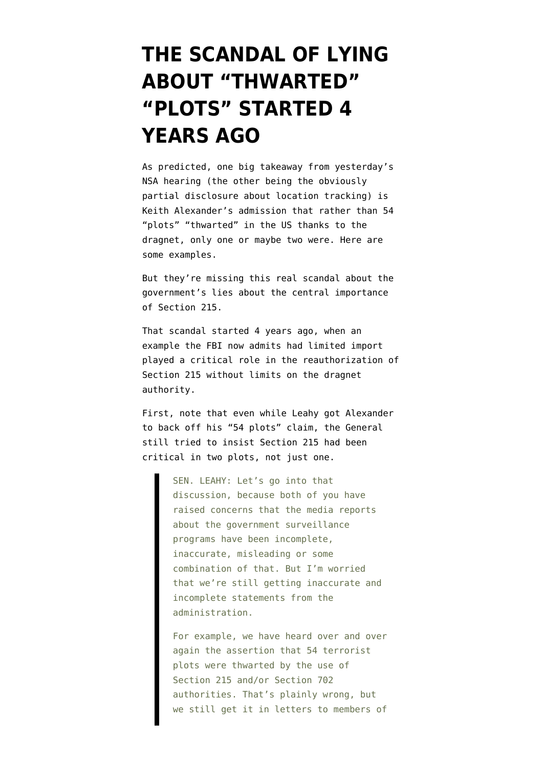## **[THE SCANDAL OF LYING](https://www.emptywheel.net/2013/10/03/the-real-scandal-of-lying-about-thwarted-plots-happened-4-years-ago/) [ABOUT "THWARTED"](https://www.emptywheel.net/2013/10/03/the-real-scandal-of-lying-about-thwarted-plots-happened-4-years-ago/) ["PLOTS" STARTED 4](https://www.emptywheel.net/2013/10/03/the-real-scandal-of-lying-about-thwarted-plots-happened-4-years-ago/) [YEARS AGO](https://www.emptywheel.net/2013/10/03/the-real-scandal-of-lying-about-thwarted-plots-happened-4-years-ago/)**

As predicted, one big takeaway from yesterday's NSA hearing (the other being the [obviously](http://www.nytimes.com/2013/10/03/us/nsa-experiment-traced-us-cellphone-locations.html?hp&_r=0) [partial disclosure about location tracking](http://www.nytimes.com/2013/10/03/us/nsa-experiment-traced-us-cellphone-locations.html?hp&_r=0)) is Keith Alexander's admission that rather than 54 "plots" "thwarted" in the US thanks to the dragnet, only one or maybe two were. [Here](http://www.salon.com/2013/10/02/nsa_director_admits_to_misleading_public_on_terror_plots/singleton/) [are](http://m.washingtontimes.com/news/2013/oct/2/nsa-chief-figures-foiled-terror-plots-misleading/) [some](http://www.rawstory.com/rs/2013/10/02/patrick-leahy-calls-out-obama-administration-on-terror-plots-thwarted-by-nsa-spying/) [examples](http://intellihub.com/2013/10/02/nsa-admits-figures-foiled-terrorism-plots-misleading/).

But they're missing this real scandal about the government's lies about the central importance of Section 215.

That scandal started 4 years ago, when an example the FBI now admits had limited import played a critical role in the reauthorization of Section 215 without limits on the dragnet authority.

First, note that even while Leahy got Alexander to back off his "54 plots" claim, the General still tried to insist Section 215 had been critical in two plots, not just one.

> SEN. LEAHY: Let's go into that discussion, because both of you have raised concerns that the media reports about the government surveillance programs have been incomplete, inaccurate, misleading or some combination of that. But I'm worried that we're still getting inaccurate and incomplete statements from the administration.

For example, we have heard over and over again the assertion that 54 terrorist plots were thwarted by the use of Section 215 and/or Section 702 authorities. That's plainly wrong, but we still get it in letters to members of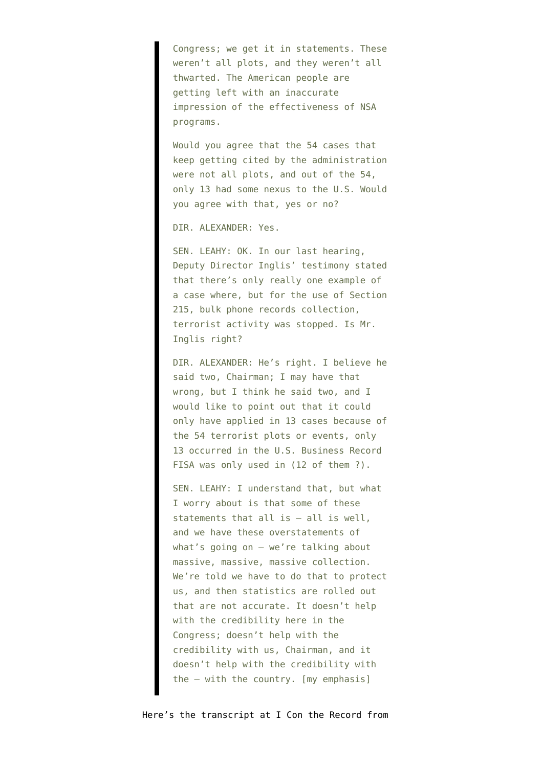Congress; we get it in statements. These weren't all plots, and they weren't all thwarted. The American people are getting left with an inaccurate impression of the effectiveness of NSA programs.

Would you agree that the 54 cases that keep getting cited by the administration were not all plots, and out of the 54, only 13 had some nexus to the U.S. Would you agree with that, yes or no?

DIR. ALEXANDER: Yes.

SEN. LEAHY: OK. In our last hearing, Deputy Director Inglis' testimony stated that there's only really one example of a case where, but for the use of Section 215, bulk phone records collection, terrorist activity was stopped. Is Mr. Inglis right?

DIR. ALEXANDER: He's right. I believe he said two, Chairman; I may have that wrong, but I think he said two, and I would like to point out that it could only have applied in 13 cases because of the 54 terrorist plots or events, only 13 occurred in the U.S. Business Record FISA was only used in (12 of them ?).

SEN. LEAHY: I understand that, but what I worry about is that some of these statements that all is — all is well, and we have these overstatements of what's going on — we're talking about massive, massive, massive collection. We're told we have to do that to protect us, and then statistics are rolled out that are not accurate. It doesn't help with the credibility here in the Congress; doesn't help with the credibility with us, Chairman, and it doesn't help with the credibility with the — with the country. [my emphasis]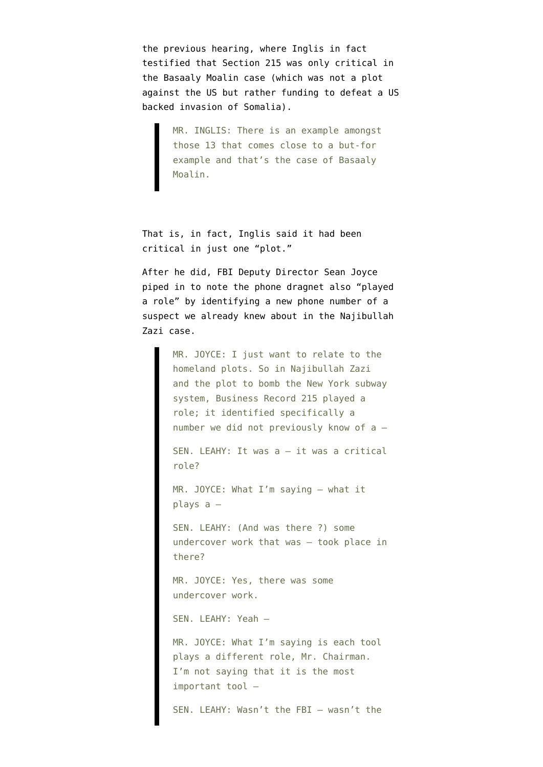the previous hearing, where Inglis in fact testified that Section 215 was only critical in the Basaaly Moalin case ([which was not a plot](http://www.emptywheel.net/2013/08/01/if-by-plots-on-the-homeland-you-mean-defense-against-us-backed-invaders/) [against the US but rather funding to defeat a US](http://www.emptywheel.net/2013/08/01/if-by-plots-on-the-homeland-you-mean-defense-against-us-backed-invaders/) [backed invasion of Somalia\)](http://www.emptywheel.net/2013/08/01/if-by-plots-on-the-homeland-you-mean-defense-against-us-backed-invaders/).

> MR. INGLIS: There is an example amongst those 13 that comes close to a but-for example and that's the case of Basaaly Moalin.

That is, in fact, Inglis said it had been critical in just one "plot."

After he did, FBI Deputy Director Sean Joyce piped in to note the phone dragnet also "played a role" by identifying a new phone number of a suspect we already knew about in the Najibullah Zazi case.

> MR. JOYCE: I just want to relate to the homeland plots. So in Najibullah Zazi and the plot to bomb the New York subway system, Business Record 215 played a role; it identified specifically a number we did not previously know of a — SEN. LEAHY: It was a — it was a critical role? MR. JOYCE: What I'm saying — what it plays a — SEN. LEAHY: (And was there ?) some undercover work that was — took place in there? MR. JOYCE: Yes, there was some undercover work. SEN. LEAHY: Yeah — MR. JOYCE: What I'm saying is each tool plays a different role, Mr. Chairman. I'm not saying that it is the most important tool — SEN. LEAHY: Wasn't the FBI — wasn't the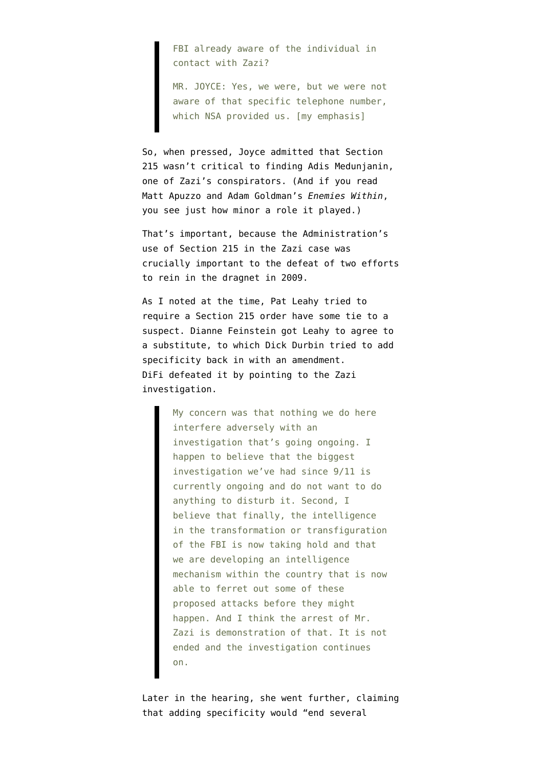FBI already aware of the individual in contact with Zazi?

MR. JOYCE: Yes, we were, but we were not aware of that specific telephone number, which NSA provided us. [my emphasis]

So, when pressed, Joyce admitted that Section 215 wasn't critical to finding Adis Medunjanin, one of Zazi's conspirators. (And if you read Matt Apuzzo and Adam Goldman's *[Enemies Within](http://www.amazon.com/Enemies-Within-Inside-Against-America/dp/1476727937)*, you see just how minor a role it played.)

That's important, because the Administration's use of Section 215 in the Zazi case was crucially important to the defeat of two efforts to rein in the dragnet in 2009.

As I [noted at the time](http://www.emptywheel.net/2009/10/02/difis-invitation-to-a-fishing-expedition/), Pat Leahy tried to require a Section 215 order have some tie to a suspect. Dianne Feinstein got Leahy to agree to a substitute, to which Dick Durbin tried to add specificity back in with an amendment. DiFi [defeated it](http://www.emptywheel.net/2009/10/04/the-total-nail-polish-remover-awareness-program-brought-to-you-by-the-democratic-party/) by pointing to the Zazi investigation.

> My concern was that nothing we do here interfere adversely with an investigation that's going ongoing. I happen to believe that the biggest investigation we've had since 9/11 is currently ongoing and do not want to do anything to disturb it. Second, I believe that finally, the intelligence in the transformation or transfiguration of the FBI is now taking hold and that we are developing an intelligence mechanism within the country that is now able to ferret out some of these proposed attacks before they might happen. And I think the arrest of Mr. Zazi is demonstration of that. It is not ended and the investigation continues on.

Later in the hearing, she went further, claiming that adding specificity would "end several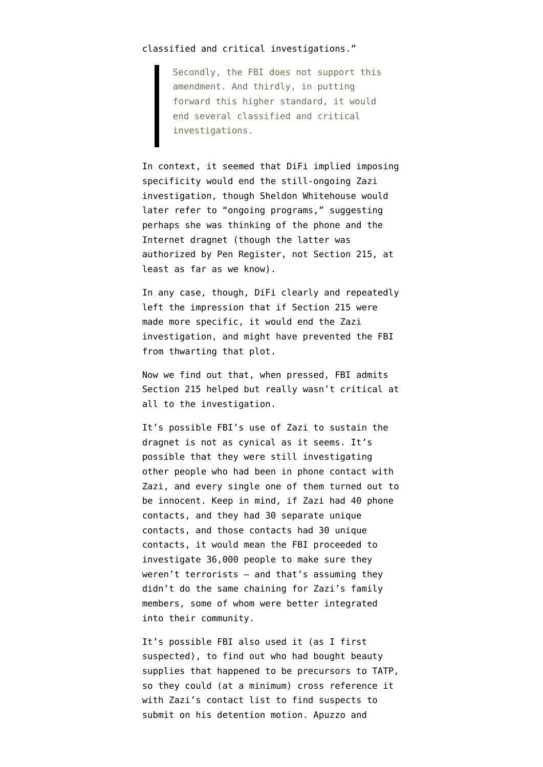## classified and critical investigations."

Secondly, the FBI does not support this amendment. And thirdly, in putting forward this higher standard, it would end several classified and critical investigations.

In context, it seemed that DiFi implied imposing specificity would end the still-ongoing Zazi investigation, though Sheldon Whitehouse would later refer to "ongoing programs," suggesting perhaps she was thinking of the phone and the Internet dragnet (though the latter was authorized by Pen Register, not Section 215, at least as far as we know).

In any case, though, DiFi clearly and repeatedly left the impression that if Section 215 were made more specific, it would end the Zazi investigation, and might have prevented the FBI from thwarting that plot.

Now we find out that, when pressed, FBI admits Section 215 helped but really wasn't critical at all to the investigation.

It's possible FBI's use of Zazi to sustain the dragnet is not as cynical as it seems. It's possible that they were still investigating other people who had been in phone contact with Zazi, and every single one of them turned out to be innocent. Keep in mind, if Zazi had 40 phone contacts, and they had 30 separate unique contacts, and those contacts had 30 unique contacts, it would mean the FBI proceeded to investigate 36,000 people to make sure they weren't terrorists — and that's assuming they didn't do the same chaining for Zazi's family members, some of whom were better integrated into their community.

It's possible FBI also used it (as I first suspected), to find out who had bought beauty supplies that happened to be precursors to TATP, so they could (at a minimum) cross reference it with [Zazi's contact list to find suspects to](http://www.emptywheel.net/2013/06/07/meet-3-patriot-act-false-positives-investigated-for-buying-beauty-supplies/) [submit](http://www.emptywheel.net/2013/06/07/meet-3-patriot-act-false-positives-investigated-for-buying-beauty-supplies/) on his detention motion. Apuzzo and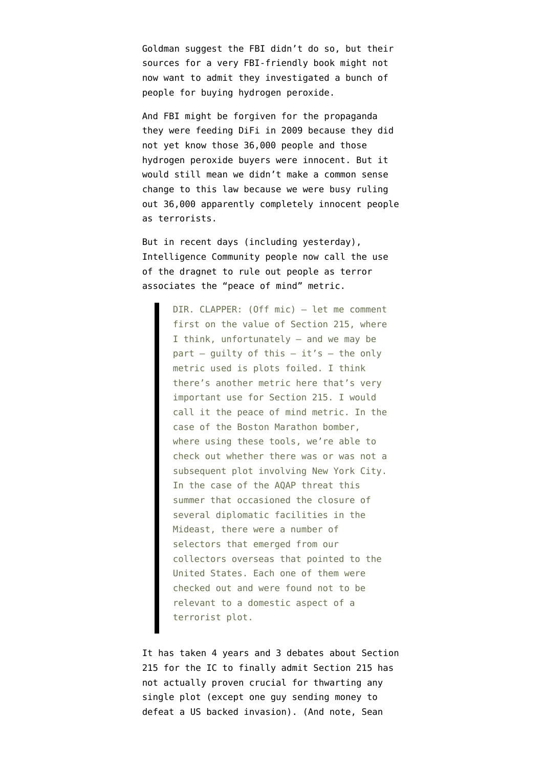Goldman suggest the FBI didn't do so, but their sources for a very FBI-friendly book might not now want to admit they investigated a bunch of people for buying hydrogen peroxide.

And FBI might be forgiven for the propaganda they were feeding DiFi in 2009 because they did not yet know those 36,000 people and those hydrogen peroxide buyers were innocent. But it would still mean we didn't make a common sense change to this law because we were busy ruling out 36,000 apparently completely innocent people as terrorists.

But in recent days (including yesterday), Intelligence Community people now call the use of the dragnet to rule out people as terror associates the "peace of mind" metric.

> DIR. CLAPPER: (Off mic) — let me comment first on the value of Section 215, where I think, unfortunately — and we may be part – guilty of this – it's – the only metric used is plots foiled. I think there's another metric here that's very important use for Section 215. I would call it the peace of mind metric. In the case of the Boston Marathon bomber, where using these tools, we're able to check out whether there was or was not a subsequent plot involving New York City. In the case of the AQAP threat this summer that occasioned the closure of several diplomatic facilities in the Mideast, there were a number of selectors that emerged from our collectors overseas that pointed to the United States. Each one of them were checked out and were found not to be relevant to a domestic aspect of a terrorist plot.

It has taken 4 years and 3 debates about Section 215 for the IC to finally admit Section 215 has not actually proven crucial for thwarting any single plot (except one guy sending money to defeat a US backed invasion). (And note, Sean